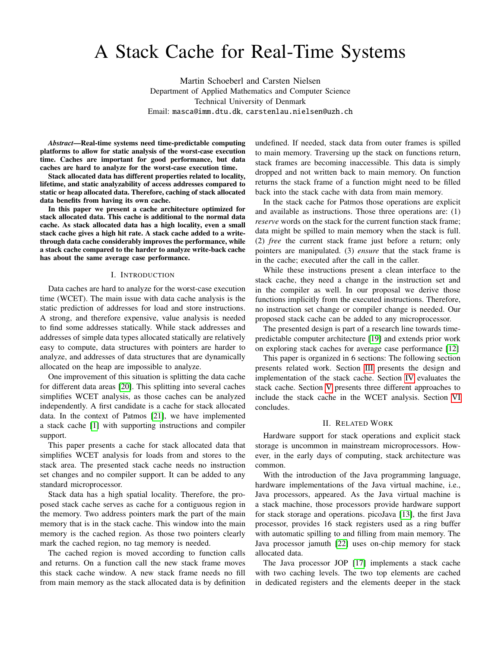# A Stack Cache for Real-Time Systems

Martin Schoeberl and Carsten Nielsen Department of Applied Mathematics and Computer Science Technical University of Denmark Email: masca@imm.dtu.dk, carstenlau.nielsen@uzh.ch

*Abstract*—Real-time systems need time-predictable computing platforms to allow for static analysis of the worst-case execution time. Caches are important for good performance, but data caches are hard to analyze for the worst-case execution time.

Stack allocated data has different properties related to locality, lifetime, and static analyzability of access addresses compared to static or heap allocated data. Therefore, caching of stack allocated data benefits from having its own cache.

In this paper we present a cache architecture optimized for stack allocated data. This cache is additional to the normal data cache. As stack allocated data has a high locality, even a small stack cache gives a high hit rate. A stack cache added to a writethrough data cache considerably improves the performance, while a stack cache compared to the harder to analyze write-back cache has about the same average case performance.

### I. INTRODUCTION

Data caches are hard to analyze for the worst-case execution time (WCET). The main issue with data cache analysis is the static prediction of addresses for load and store instructions. A strong, and therefore expensive, value analysis is needed to find some addresses statically. While stack addresses and addresses of simple data types allocated statically are relatively easy to compute, data structures with pointers are harder to analyze, and addresses of data structures that are dynamically allocated on the heap are impossible to analyze.

One improvement of this situation is splitting the data cache for different data areas [\[20\]](#page-7-0). This splitting into several caches simplifies WCET analysis, as those caches can be analyzed independently. A first candidate is a cache for stack allocated data. In the context of Patmos [\[21\]](#page-7-1), we have implemented a stack cache [\[1\]](#page-7-2) with supporting instructions and compiler support.

This paper presents a cache for stack allocated data that simplifies WCET analysis for loads from and stores to the stack area. The presented stack cache needs no instruction set changes and no compiler support. It can be added to any standard microprocessor.

Stack data has a high spatial locality. Therefore, the proposed stack cache serves as cache for a contiguous region in the memory. Two address pointers mark the part of the main memory that is in the stack cache. This window into the main memory is the cached region. As those two pointers clearly mark the cached region, no tag memory is needed.

The cached region is moved according to function calls and returns. On a function call the new stack frame moves this stack cache window. A new stack frame needs no fill from main memory as the stack allocated data is by definition undefined. If needed, stack data from outer frames is spilled to main memory. Traversing up the stack on functions return, stack frames are becoming inaccessible. This data is simply dropped and not written back to main memory. On function returns the stack frame of a function might need to be filled back into the stack cache with data from main memory.

In the stack cache for Patmos those operations are explicit and available as instructions. Those three operations are: (1) *reserve* words on the stack for the current function stack frame; data might be spilled to main memory when the stack is full. (2) *free* the current stack frame just before a return; only pointers are manipulated. (3) *ensure* that the stack frame is in the cache; executed after the call in the caller.

While these instructions present a clean interface to the stack cache, they need a change in the instruction set and in the compiler as well. In our proposal we derive those functions implicitly from the executed instructions. Therefore, no instruction set change or compiler change is needed. Our proposed stack cache can be added to any microprocessor.

The presented design is part of a research line towards timepredictable computer architecture [\[19\]](#page-7-3) and extends prior work on exploring stack caches for average case performance [\[12\]](#page-7-4)

This paper is organized in 6 sections: The following section presents related work. Section [III](#page-2-0) presents the design and implementation of the stack cache. Section [IV](#page-3-0) evaluates the stack cache. Section [V](#page-6-0) presents three different approaches to include the stack cache in the WCET analysis. Section [VI](#page-6-1) concludes.

# II. RELATED WORK

Hardware support for stack operations and explicit stack storage is uncommon in mainstream microprocessors. However, in the early days of computing, stack architecture was common.

With the introduction of the Java programming language, hardware implementations of the Java virtual machine, i.e., Java processors, appeared. As the Java virtual machine is a stack machine, those processors provide hardware support for stack storage and operations. picoJava [\[13\]](#page-7-5), the first Java processor, provides 16 stack registers used as a ring buffer with automatic spilling to and filling from main memory. The Java processor jamuth [\[22\]](#page-7-6) uses on-chip memory for stack allocated data.

The Java processor JOP [\[17\]](#page-7-7) implements a stack cache with two caching levels. The two top elements are cached in dedicated registers and the elements deeper in the stack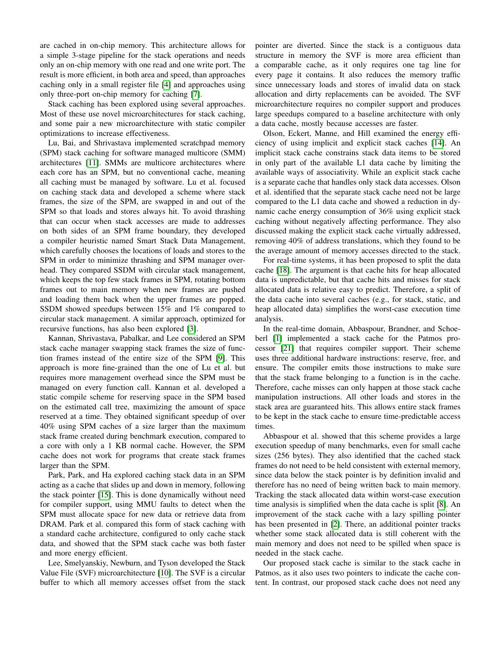are cached in on-chip memory. This architecture allows for a simple 3-stage pipeline for the stack operations and needs only an on-chip memory with one read and one write port. The result is more efficient, in both area and speed, than approaches caching only in a small register file [\[4\]](#page-7-8) and approaches using only three-port on-chip memory for caching [\[7\]](#page-7-9).

Stack caching has been explored using several approaches. Most of these use novel microarchitectures for stack caching, and some pair a new microarchitecture with static compiler optimizations to increase effectiveness.

Lu, Bai, and Shrivastava implemented scratchpad memory (SPM) stack caching for software managed multicore (SMM) architectures [\[11\]](#page-7-10). SMMs are multicore architectures where each core has an SPM, but no conventional cache, meaning all caching must be managed by software. Lu et al. focused on caching stack data and developed a scheme where stack frames, the size of the SPM, are swapped in and out of the SPM so that loads and stores always hit. To avoid thrashing that can occur when stack accesses are made to addresses on both sides of an SPM frame boundary, they developed a compiler heuristic named Smart Stack Data Management, which carefully chooses the locations of loads and stores to the SPM in order to minimize thrashing and SPM manager overhead. They compared SSDM with circular stack management, which keeps the top few stack frames in SPM, rotating bottom frames out to main memory when new frames are pushed and loading them back when the upper frames are popped. SSDM showed speedups between 15% and 1% compared to circular stack management. A similar approach, optimized for recursive functions, has also been explored [\[3\]](#page-7-11).

Kannan, Shrivastava, Pabalkar, and Lee considered an SPM stack cache manager swapping stack frames the size of function frames instead of the entire size of the SPM [\[9\]](#page-7-12). This approach is more fine-grained than the one of Lu et al. but requires more management overhead since the SPM must be managed on every function call. Kannan et al. developed a static compile scheme for reserving space in the SPM based on the estimated call tree, maximizing the amount of space reserved at a time. They obtained significant speedup of over 40% using SPM caches of a size larger than the maximum stack frame created during benchmark execution, compared to a core with only a 1 KB normal cache. However, the SPM cache does not work for programs that create stack frames larger than the SPM.

Park, Park, and Ha explored caching stack data in an SPM acting as a cache that slides up and down in memory, following the stack pointer [\[15\]](#page-7-13). This is done dynamically without need for compiler support, using MMU faults to detect when the SPM must allocate space for new data or retrieve data from DRAM. Park et al. compared this form of stack caching with a standard cache architecture, configured to only cache stack data, and showed that the SPM stack cache was both faster and more energy efficient.

Lee, Smelyanskiy, Newburn, and Tyson developed the Stack Value File (SVF) microarchitecture [\[10\]](#page-7-14). The SVF is a circular buffer to which all memory accesses offset from the stack pointer are diverted. Since the stack is a contiguous data structure in memory the SVF is more area efficient than a comparable cache, as it only requires one tag line for every page it contains. It also reduces the memory traffic since unnecessary loads and stores of invalid data on stack allocation and dirty replacements can be avoided. The SVF microarchitecture requires no compiler support and produces large speedups compared to a baseline architecture with only a data cache, mostly because accesses are faster.

Olson, Eckert, Manne, and Hill examined the energy efficiency of using implicit and explicit stack caches [\[14\]](#page-7-15). An implicit stack cache constrains stack data items to be stored in only part of the available L1 data cache by limiting the available ways of associativity. While an explicit stack cache is a separate cache that handles only stack data accesses. Olson et al. identified that the separate stack cache need not be large compared to the L1 data cache and showed a reduction in dynamic cache energy consumption of 36% using explicit stack caching without negatively affecting performance. They also discussed making the explicit stack cache virtually addressed, removing 40% of address translations, which they found to be the average amount of memory accesses directed to the stack.

For real-time systems, it has been proposed to split the data cache [\[18\]](#page-7-16). The argument is that cache hits for heap allocated data is unpredictable, but that cache hits and misses for stack allocated data is relative easy to predict. Therefore, a split of the data cache into several caches (e.g., for stack, static, and heap allocated data) simplifies the worst-case execution time analysis.

In the real-time domain, Abbaspour, Brandner, and Schoeberl [\[1\]](#page-7-2) implemented a stack cache for the Patmos processor [\[21\]](#page-7-1) that requires compiler support. Their scheme uses three additional hardware instructions: reserve, free, and ensure. The compiler emits those instructions to make sure that the stack frame belonging to a function is in the cache. Therefore, cache misses can only happen at those stack cache manipulation instructions. All other loads and stores in the stack area are guaranteed hits. This allows entire stack frames to be kept in the stack cache to ensure time-predictable access times.

Abbaspour et al. showed that this scheme provides a large execution speedup of many benchmarks, even for small cache sizes (256 bytes). They also identified that the cached stack frames do not need to be held consistent with external memory, since data below the stack pointer is by definition invalid and therefore has no need of being written back to main memory. Tracking the stack allocated data within worst-case execution time analysis is simplified when the data cache is split [\[8\]](#page-7-17). An improvement of the stack cache with a lazy spilling pointer has been presented in [\[2\]](#page-7-18). There, an additional pointer tracks whether some stack allocated data is still coherent with the main memory and does not need to be spilled when space is needed in the stack cache.

Our proposed stack cache is similar to the stack cache in Patmos, as it also uses two pointers to indicate the cache content. In contrast, our proposed stack cache does not need any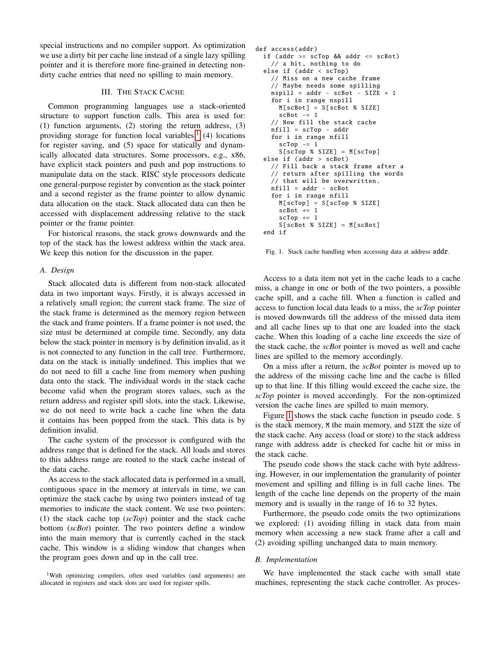special instructions and no compiler support. As optimization we use a dirty bit per cache line instead of a single lazy spilling pointer and it is therefore more fine-grained in detecting nondirty cache entries that need no spilling to main memory.

### III. THE STACK CACHE

<span id="page-2-0"></span>Common programming languages use a stack-oriented structure to support function calls. This area is used for: (1) function arguments, (2) storing the return address, (3) providing storage for function local variables, $(4)$  locations for register saving, and (5) space for statically and dynamically allocated data structures. Some processors, e.g., x86, have explicit stack pointers and push and pop instructions to manipulate data on the stack. RISC style processors dedicate one general-purpose register by convention as the stack pointer and a second register as the frame pointer to allow dynamic data allocation on the stack. Stack allocated data can then be accessed with displacement addressing relative to the stack pointer or the frame pointer.

For historical reasons, the stack grows downwards and the top of the stack has the lowest address within the stack area. We keep this notion for the discussion in the paper.

#### *A. Design*

Stack allocated data is different from non-stack allocated data in two important ways. Firstly, it is always accessed in a relatively small region; the current stack frame. The size of the stack frame is determined as the memory region between the stack and frame pointers. If a frame pointer is not used, the size must be determined at compile time. Secondly, any data below the stack pointer in memory is by definition invalid, as it is not connected to any function in the call tree. Furthermore, data on the stack is initially undefined. This implies that we do not need to fill a cache line from memory when pushing data onto the stack. The individual words in the stack cache become valid when the program stores values, such as the return address and register spill slots, into the stack. Likewise, we do not need to write back a cache line when the data it contains has been popped from the stack. This data is by definition invalid.

The cache system of the processor is configured with the address range that is defined for the stack. All loads and stores to this address range are routed to the stack cache instead of the data cache.

As access to the stack allocated data is performed in a small, contiguous space in the memory at intervals in time, we can optimize the stack cache by using two pointers instead of tag memories to indicate the stack content. We use two pointers: (1) the stack cache top (*scTop*) pointer and the stack cache bottom (*scBot*) pointer. The two pointers define a window into the main memory that is currently cached in the stack cache. This window is a sliding window that changes when the program goes down and up in the call tree.

<span id="page-2-1"></span><sup>1</sup>With optimizing compilers, often used variables (and arguments) are allocated in registers and stack slots are used for register spills.

```
def access(addr)
if (addr >= scTop && addr <= scBot)
   // a hit, nothing to do
 else if (addr < scTop)
   // Miss on a new cache frame
   // Maybe needs some spilling
  nspill = addr - scBot - SIZE + 1for i in range nspill
    M[scBot] = S[scBot % SIZE]
    scBot -z 1
   // Now fill the stack cache
  nfill = scTop - addr
   for i in range nfill
    scTop -= 1
    S[scTop % SIZE] = M[scTop]
 else if (addr > scBot)
   // Fill back a stack frame after a
   // return after spilling the words
   // that will be overwritten .
  nfill = addr - scBot
   for i in range nfill
    M[scTop] = S[scTop % SIZE]
     scBot += 1scTop += 1S[scBot % SIZE] = M[scBot]
 end if
```
<span id="page-2-2"></span>Fig. 1. Stack cache handling when accessing data at address addr.

Access to a data item not yet in the cache leads to a cache miss, a change in one or both of the two pointers, a possible cache spill, and a cache fill. When a function is called and access to function local data leads to a miss, the *scTop* pointer is moved downwards till the address of the missed data item and all cache lines up to that one are loaded into the stack cache. When this loading of a cache line exceeds the size of the stack cache, the *scBot* pointer is moved as well and cache lines are spilled to the memory accordingly.

On a miss after a return, the *scBot* pointer is moved up to the address of the missing cache line and the cache is filled up to that line. If this filling would exceed the cache size, the *scTop* pointer is moved accordingly. For the non-optimized version the cache lines are spilled to main memory.

Figure [1](#page-2-2) shows the stack cache function in pseudo code. S is the stack memory, M the main memory, and SIZE the size of the stack cache. Any access (load or store) to the stack address range with address addr is checked for cache hit or miss in the stack cache.

The pseudo code shows the stack cache with byte addressing. However, in our implementation the granularity of pointer movement and spilling and filling is in full cache lines. The length of the cache line depends on the property of the main memory and is usually in the range of 16 to 32 bytes.

Furthermore, the pseudo code omits the two optimizations we explored: (1) avoiding filling in stack data from main memory when accessing a new stack frame after a call and (2) avoiding spilling unchanged data to main memory.

#### *B. Implementation*

We have implemented the stack cache with small state machines, representing the stack cache controller. As proces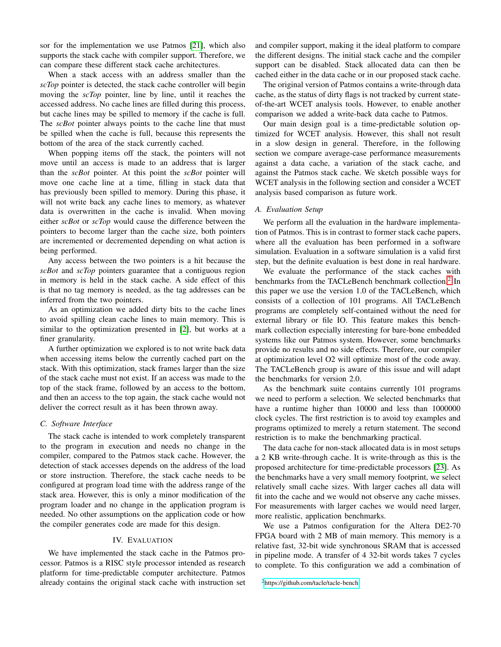sor for the implementation we use Patmos [\[21\]](#page-7-1), which also supports the stack cache with compiler support. Therefore, we can compare these different stack cache architectures.

When a stack access with an address smaller than the *scTop* pointer is detected, the stack cache controller will begin moving the *scTop* pointer, line by line, until it reaches the accessed address. No cache lines are filled during this process, but cache lines may be spilled to memory if the cache is full. The *scBot* pointer always points to the cache line that must be spilled when the cache is full, because this represents the bottom of the area of the stack currently cached.

When popping items off the stack, the pointers will not move until an access is made to an address that is larger than the *scBot* pointer. At this point the *scBot* pointer will move one cache line at a time, filling in stack data that has previously been spilled to memory. During this phase, it will not write back any cache lines to memory, as whatever data is overwritten in the cache is invalid. When moving either *scBot* or *scTop* would cause the difference between the pointers to become larger than the cache size, both pointers are incremented or decremented depending on what action is being performed.

Any access between the two pointers is a hit because the *scBot* and *scTop* pointers guarantee that a contiguous region in memory is held in the stack cache. A side effect of this is that no tag memory is needed, as the tag addresses can be inferred from the two pointers.

As an optimization we added dirty bits to the cache lines to avoid spilling clean cache lines to main memory. This is similar to the optimization presented in [\[2\]](#page-7-18), but works at a finer granularity.

A further optimization we explored is to not write back data when accessing items below the currently cached part on the stack. With this optimization, stack frames larger than the size of the stack cache must not exist. If an access was made to the top of the stack frame, followed by an access to the bottom, and then an access to the top again, the stack cache would not deliver the correct result as it has been thrown away.

# *C. Software Interface*

The stack cache is intended to work completely transparent to the program in execution and needs no change in the compiler, compared to the Patmos stack cache. However, the detection of stack accesses depends on the address of the load or store instruction. Therefore, the stack cache needs to be configured at program load time with the address range of the stack area. However, this is only a minor modification of the program loader and no change in the application program is needed. No other assumptions on the application code or how the compiler generates code are made for this design.

## IV. EVALUATION

<span id="page-3-0"></span>We have implemented the stack cache in the Patmos processor. Patmos is a RISC style processor intended as research platform for time-predictable computer architecture. Patmos already contains the original stack cache with instruction set and compiler support, making it the ideal platform to compare the different designs. The initial stack cache and the compiler support can be disabled. Stack allocated data can then be cached either in the data cache or in our proposed stack cache.

The original version of Patmos contains a write-through data cache, as the status of dirty flags is not tracked by current stateof-the-art WCET analysis tools. However, to enable another comparison we added a write-back data cache to Patmos.

Our main design goal is a time-predictable solution optimized for WCET analysis. However, this shall not result in a slow design in general. Therefore, in the following section we compare average-case performance measurements against a data cache, a variation of the stack cache, and against the Patmos stack cache. We sketch possible ways for WCET analysis in the following section and consider a WCET analysis based comparison as future work.

# *A. Evaluation Setup*

We perform all the evaluation in the hardware implementation of Patmos. This is in contrast to former stack cache papers, where all the evaluation has been performed in a software simulation. Evaluation in a software simulation is a valid first step, but the definite evaluation is best done in real hardware.

We evaluate the performance of the stack caches with benchmarks from the TACLeBench benchmark collection.<sup>[2](#page-3-1)</sup> In this paper we use the version 1.0 of the TACLeBench, which consists of a collection of 101 programs. All TACLeBench programs are completely self-contained without the need for external library or file IO. This feature makes this benchmark collection especially interesting for bare-bone embedded systems like our Patmos system. However, some benchmarks provide no results and no side effects. Therefore, our compiler at optimization level O2 will optimize most of the code away. The TACLeBench group is aware of this issue and will adapt the benchmarks for version 2.0.

As the benchmark suite contains currently 101 programs we need to perform a selection. We selected benchmarks that have a runtime higher than 10000 and less than 1000000 clock cycles. The first restriction is to avoid toy examples and programs optimized to merely a return statement. The second restriction is to make the benchmarking practical.

The data cache for non-stack allocated data is in most setups a 2 KB write-through cache. It is write-through as this is the proposed architecture for time-predictable processors [\[23\]](#page-7-19). As the benchmarks have a very small memory footprint, we select relatively small cache sizes. With larger caches all data will fit into the cache and we would not observe any cache misses. For measurements with larger caches we would need larger, more realistic, application benchmarks.

We use a Patmos configuration for the Altera DE2-70 FPGA board with 2 MB of main memory. This memory is a relative fast, 32-bit wide synchronous SRAM that is accessed in pipeline mode. A transfer of 4 32-bit words takes 7 cycles to complete. To this configuration we add a combination of

<span id="page-3-1"></span><sup>2</sup><https://github.com/tacle/tacle-bench>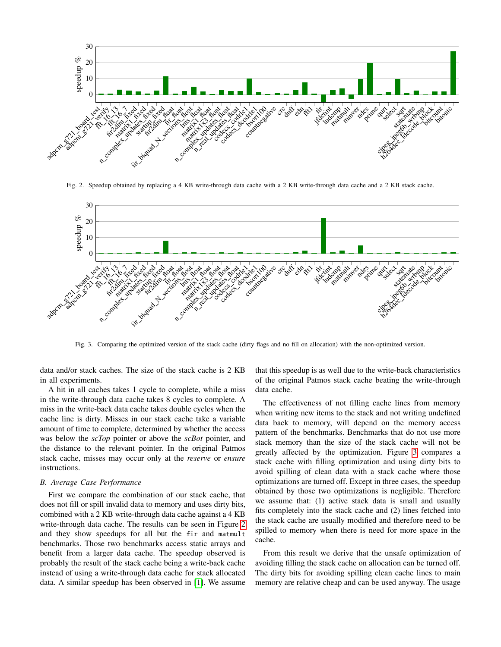

<span id="page-4-0"></span>Fig. 2. Speedup obtained by replacing a 4 KB write-through data cache with a 2 KB write-through data cache and a 2 KB stack cache.



<span id="page-4-1"></span>Fig. 3. Comparing the optimized version of the stack cache (dirty flags and no fill on allocation) with the non-optimized version.

data and/or stack caches. The size of the stack cache is 2 KB in all experiments.

A hit in all caches takes 1 cycle to complete, while a miss in the write-through data cache takes 8 cycles to complete. A miss in the write-back data cache takes double cycles when the cache line is dirty. Misses in our stack cache take a variable amount of time to complete, determined by whether the access was below the *scTop* pointer or above the *scBot* pointer, and the distance to the relevant pointer. In the original Patmos stack cache, misses may occur only at the *reserve* or *ensure* instructions.

### *B. Average Case Performance*

First we compare the combination of our stack cache, that does not fill or spill invalid data to memory and uses dirty bits, combined with a 2 KB write-through data cache against a 4 KB write-through data cache. The results can be seen in Figure [2](#page-4-0) and they show speedups for all but the fir and matmult benchmarks. Those two benchmarks access static arrays and benefit from a larger data cache. The speedup observed is probably the result of the stack cache being a write-back cache instead of using a write-through data cache for stack allocated data. A similar speedup has been observed in [\[1\]](#page-7-2). We assume that this speedup is as well due to the write-back characteristics of the original Patmos stack cache beating the write-through data cache.

The effectiveness of not filling cache lines from memory when writing new items to the stack and not writing undefined data back to memory, will depend on the memory access pattern of the benchmarks. Benchmarks that do not use more stack memory than the size of the stack cache will not be greatly affected by the optimization. Figure [3](#page-4-1) compares a stack cache with filling optimization and using dirty bits to avoid spilling of clean data with a stack cache where those optimizations are turned off. Except in three cases, the speedup obtained by those two optimizations is negligible. Therefore we assume that: (1) active stack data is small and usually fits completely into the stack cache and (2) lines fetched into the stack cache are usually modified and therefore need to be spilled to memory when there is need for more space in the cache.

From this result we derive that the unsafe optimization of avoiding filling the stack cache on allocation can be turned off. The dirty bits for avoiding spilling clean cache lines to main memory are relative cheap and can be used anyway. The usage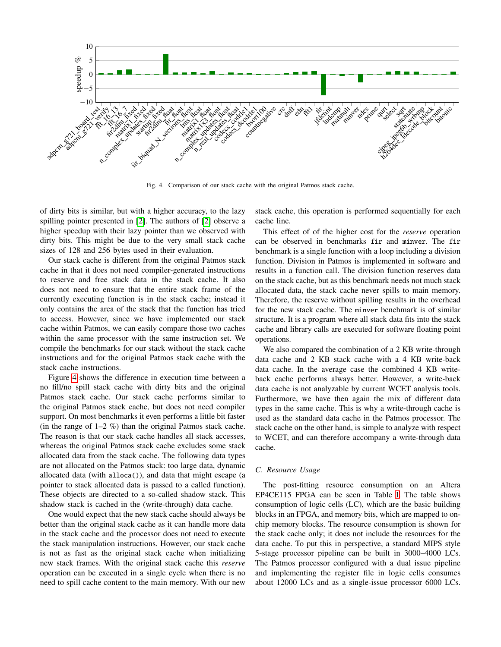

<span id="page-5-0"></span>Fig. 4. Comparison of our stack cache with the original Patmos stack cache.

of dirty bits is similar, but with a higher accuracy, to the lazy spilling pointer presented in [\[2\]](#page-7-18). The authors of [\[2\]](#page-7-18) observe a higher speedup with their lazy pointer than we observed with dirty bits. This might be due to the very small stack cache sizes of 128 and 256 bytes used in their evaluation.

Our stack cache is different from the original Patmos stack cache in that it does not need compiler-generated instructions to reserve and free stack data in the stack cache. It also does not need to ensure that the entire stack frame of the currently executing function is in the stack cache; instead it only contains the area of the stack that the function has tried to access. However, since we have implemented our stack cache within Patmos, we can easily compare those two caches within the same processor with the same instruction set. We compile the benchmarks for our stack without the stack cache instructions and for the original Patmos stack cache with the stack cache instructions.

Figure [4](#page-5-0) shows the difference in execution time between a no fill/no spill stack cache with dirty bits and the original Patmos stack cache. Our stack cache performs similar to the original Patmos stack cache, but does not need compiler support. On most benchmarks it even performs a little bit faster (in the range of  $1-2$  %) than the original Patmos stack cache. The reason is that our stack cache handles all stack accesses, whereas the original Patmos stack cache excludes some stack allocated data from the stack cache. The following data types are not allocated on the Patmos stack: too large data, dynamic allocated data (with alloca()), and data that might escape (a pointer to stack allocated data is passed to a called function). These objects are directed to a so-called shadow stack. This shadow stack is cached in the (write-through) data cache.

One would expect that the new stack cache should always be better than the original stack cache as it can handle more data in the stack cache and the processor does not need to execute the stack manipulation instructions. However, our stack cache is not as fast as the original stack cache when initializing new stack frames. With the original stack cache this *reserve* operation can be executed in a single cycle when there is no need to spill cache content to the main memory. With our new

stack cache, this operation is performed sequentially for each cache line.

This effect of of the higher cost for the *reserve* operation can be observed in benchmarks fir and minver. The fir benchmark is a single function with a loop including a division function. Division in Patmos is implemented in software and results in a function call. The division function reserves data on the stack cache, but as this benchmark needs not much stack allocated data, the stack cache never spills to main memory. Therefore, the reserve without spilling results in the overhead for the new stack cache. The minver benchmark is of similar structure. It is a program where all stack data fits into the stack cache and library calls are executed for software floating point operations.

We also compared the combination of a 2 KB write-through data cache and 2 KB stack cache with a 4 KB write-back data cache. In the average case the combined 4 KB writeback cache performs always better. However, a write-back data cache is not analyzable by current WCET analysis tools. Furthermore, we have then again the mix of different data types in the same cache. This is why a write-through cache is used as the standard data cache in the Patmos processor. The stack cache on the other hand, is simple to analyze with respect to WCET, and can therefore accompany a write-through data cache.

#### *C. Resource Usage*

The post-fitting resource consumption on an Altera EP4CE115 FPGA can be seen in Table [I.](#page-6-2) The table shows consumption of logic cells (LC), which are the basic building blocks in an FPGA, and memory bits, which are mapped to onchip memory blocks. The resource consumption is shown for the stack cache only; it does not include the resources for the data cache. To put this in perspective, a standard MIPS style 5-stage processor pipeline can be built in 3000–4000 LCs. The Patmos processor configured with a dual issue pipeline and implementing the register file in logic cells consumes about 12000 LCs and as a single-issue processor 6000 LCs.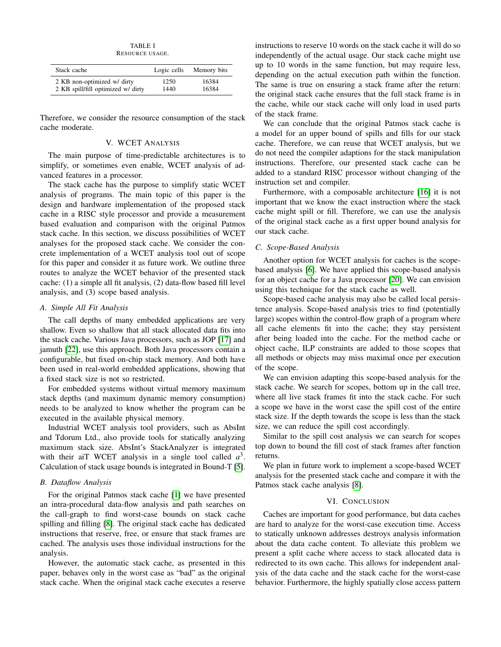TABLE I RESOURCE USAGE.

<span id="page-6-2"></span>

| Stack cache                        | Logic cells | Memory bits |
|------------------------------------|-------------|-------------|
| 2 KB non-optimized w/ dirty        | 1250        | 16384       |
| 2 KB spill/fill optimized w/ dirty | 1440        | 16384       |

Therefore, we consider the resource consumption of the stack cache moderate.

# V. WCET ANALYSIS

<span id="page-6-0"></span>The main purpose of time-predictable architectures is to simplify, or sometimes even enable, WCET analysis of advanced features in a processor.

The stack cache has the purpose to simplify static WCET analysis of programs. The main topic of this paper is the design and hardware implementation of the proposed stack cache in a RISC style processor and provide a measurement based evaluation and comparison with the original Patmos stack cache. In this section, we discuss possibilities of WCET analyses for the proposed stack cache. We consider the concrete implementation of a WCET analysis tool out of scope for this paper and consider it as future work. We outline three routes to analyze the WCET behavior of the presented stack cache: (1) a simple all fit analysis, (2) data-flow based fill level analysis, and (3) scope based analysis.

# *A. Simple All Fit Analysis*

The call depths of many embedded applications are very shallow. Even so shallow that all stack allocated data fits into the stack cache. Various Java processors, such as JOP [\[17\]](#page-7-7) and jamuth [\[22\]](#page-7-6), use this approach. Both Java processors contain a configurable, but fixed on-chip stack memory. And both have been used in real-world embedded applications, showing that a fixed stack size is not so restricted.

For embedded systems without virtual memory maximum stack depths (and maximum dynamic memory consumption) needs to be analyzed to know whether the program can be executed in the available physical memory.

Industrial WCET analysis tool providers, such as AbsInt and Tdorum Ltd., also provide tools for statically analyzing maximum stack size. AbsInt's StackAnalyzer is integrated with their aiT WCET analysis in a single tool called  $a^3$ . Calculation of stack usage bounds is integrated in Bound-T [\[5\]](#page-7-20).

### *B. Dataflow Analysis*

For the original Patmos stack cache [\[1\]](#page-7-2) we have presented an intra-procedural data-flow analysis and path searches on the call-graph to find worst-case bounds on stack cache spilling and filling [\[8\]](#page-7-17). The original stack cache has dedicated instructions that reserve, free, or ensure that stack frames are cached. The analysis uses those individual instructions for the analysis.

However, the automatic stack cache, as presented in this paper, behaves only in the worst case as "bad" as the original stack cache. When the original stack cache executes a reserve instructions to reserve 10 words on the stack cache it will do so independently of the actual usage. Our stack cache might use up to 10 words in the same function, but may require less, depending on the actual execution path within the function. The same is true on ensuring a stack frame after the return: the original stack cache ensures that the full stack frame is in the cache, while our stack cache will only load in used parts of the stack frame.

We can conclude that the original Patmos stack cache is a model for an upper bound of spills and fills for our stack cache. Therefore, we can reuse that WCET analysis, but we do not need the compiler adaptions for the stack manipulation instructions. Therefore, our presented stack cache can be added to a standard RISC processor without changing of the instruction set and compiler.

Furthermore, with a composable architecture [\[16\]](#page-7-21) it is not important that we know the exact instruction where the stack cache might spill or fill. Therefore, we can use the analysis of the original stack cache as a first upper bound analysis for our stack cache.

# *C. Scope-Based Analysis*

Another option for WCET analysis for caches is the scopebased analysis [\[6\]](#page-7-22). We have applied this scope-based analysis for an object cache for a Java processor [\[20\]](#page-7-0). We can envision using this technique for the stack cache as well.

Scope-based cache analysis may also be called local persistence analysis. Scope-based analysis tries to find (potentially large) scopes within the control-flow graph of a program where all cache elements fit into the cache; they stay persistent after being loaded into the cache. For the method cache or object cache, ILP constraints are added to those scopes that all methods or objects may miss maximal once per execution of the scope.

We can envision adapting this scope-based analysis for the stack cache. We search for scopes, bottom up in the call tree, where all live stack frames fit into the stack cache. For such a scope we have in the worst case the spill cost of the entire stack size. If the depth towards the scope is less than the stack size, we can reduce the spill cost accordingly.

Similar to the spill cost analysis we can search for scopes top down to bound the fill cost of stack frames after function returns.

We plan in future work to implement a scope-based WCET analysis for the presented stack cache and compare it with the Patmos stack cache analysis [\[8\]](#page-7-17).

#### VI. CONCLUSION

<span id="page-6-1"></span>Caches are important for good performance, but data caches are hard to analyze for the worst-case execution time. Access to statically unknown addresses destroys analysis information about the data cache content. To alleviate this problem we present a split cache where access to stack allocated data is redirected to its own cache. This allows for independent analysis of the data cache and the stack cache for the worst-case behavior. Furthermore, the highly spatially close access pattern